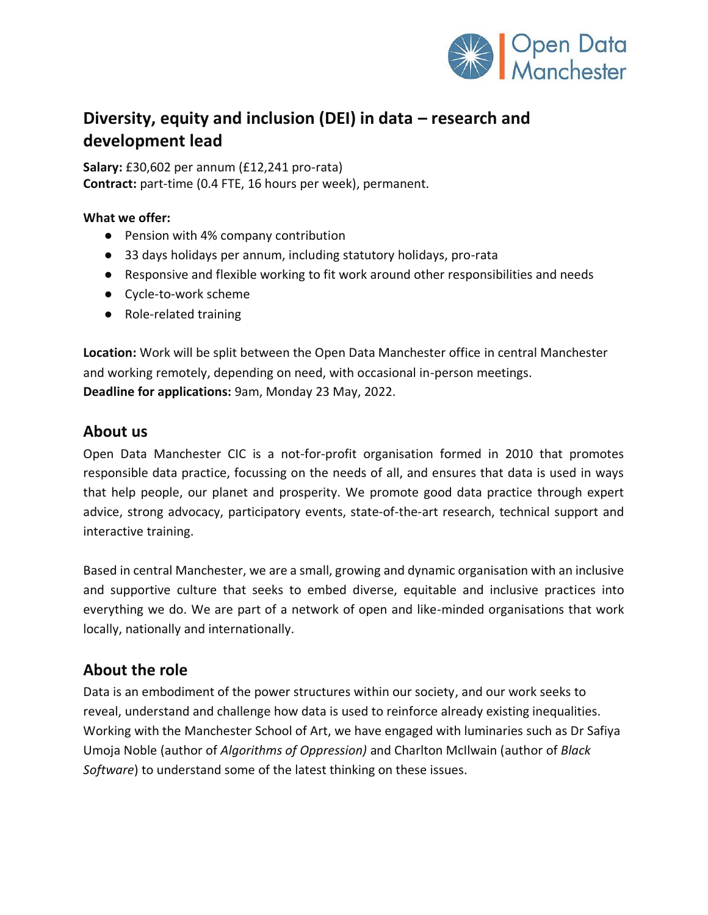

# **Diversity, equity and inclusion (DEI) in data – research and development lead**

**Salary:** £30,602 per annum (£12,241 pro-rata) **Contract:** part-time (0.4 FTE, 16 hours per week), permanent.

#### **What we offer:**

- Pension with 4% company contribution
- 33 days holidays per annum, including statutory holidays, pro-rata
- Responsive and flexible working to fit work around other responsibilities and needs
- Cycle-to-work scheme
- Role-related training

**Location:** Work will be split between the Open Data Manchester office in central Manchester and working remotely, depending on need, with occasional in-person meetings. **Deadline for applications:** 9am, Monday 23 May, 2022.

### **About us**

Open Data Manchester CIC is a not-for-profit organisation formed in 2010 that promotes responsible data practice, focussing on the needs of all, and ensures that data is used in ways that help people, our planet and prosperity. We promote good data practice through expert advice, strong advocacy, participatory events, state-of-the-art research, technical support and interactive training.

Based in central Manchester, we are a small, growing and dynamic organisation with an inclusive and supportive culture that seeks to embed diverse, equitable and inclusive practices into everything we do. We are part of a network of open and like-minded organisations that work locally, nationally and internationally.

# **About the role**

Data is an embodiment of the power structures within our society, and our work seeks to reveal, understand and challenge how data is used to reinforce already existing inequalities. Working with the Manchester School of Art, we have engaged with luminaries such as Dr Safiya Umoja Noble (author of *Algorithms of Oppression)* and Charlton McIlwain (author of *Black Software*) to understand some of the latest thinking on these issues.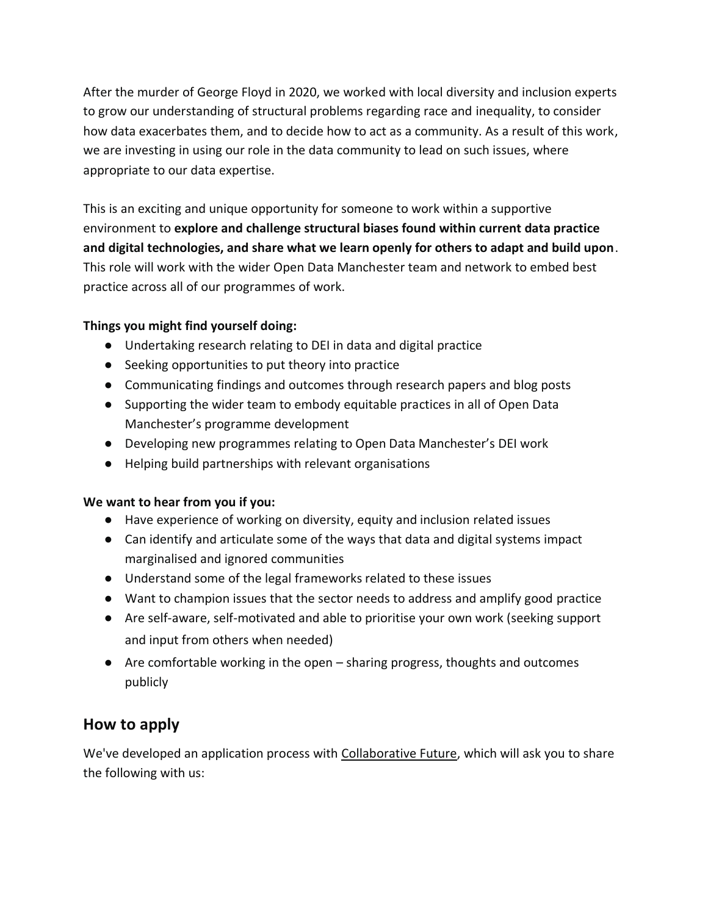After the murder of George Floyd in 2020, we worked with local diversity and inclusion experts to grow our understanding of structural problems regarding race and inequality, to consider how data exacerbates them, and to decide how to act as a community. As a result of this work, we are investing in using our role in the data community to lead on such issues, where appropriate to our data expertise.

This is an exciting and unique opportunity for someone to work within a supportive environment to **explore and challenge structural biases found within current data practice and digital technologies, and share what we learn openly for others to adapt and build upon**. This role will work with the wider Open Data Manchester team and network to embed best practice across all of our programmes of work.

### **Things you might find yourself doing:**

- Undertaking research relating to DEI in data and digital practice
- Seeking opportunities to put theory into practice
- Communicating findings and outcomes through research papers and blog posts
- Supporting the wider team to embody equitable practices in all of Open Data Manchester's programme development
- Developing new programmes relating to Open Data Manchester's DEI work
- Helping build partnerships with relevant organisations

#### **We want to hear from you if you:**

- Have experience of working on diversity, equity and inclusion related issues
- Can identify and articulate some of the ways that data and digital systems impact marginalised and ignored communities
- Understand some of the legal frameworks related to these issues
- Want to champion issues that the sector needs to address and amplify good practice
- Are self-aware, self-motivated and able to prioritise your own work (seeking support and input from others when needed)
- Are comfortable working in the open sharing progress, thoughts and outcomes publicly

# **How to apply**

We've developed an application process with [Collaborative Future,](https://www.collaborativefuture.co.uk/) which will ask you to share the following with us: